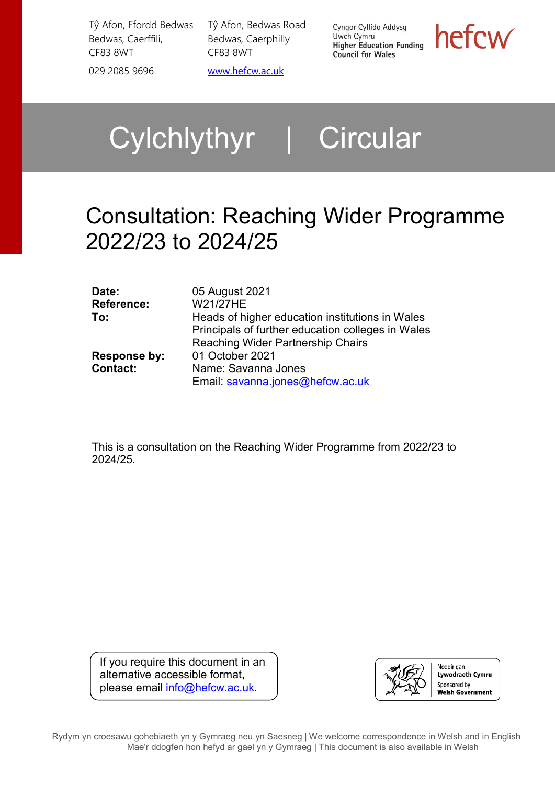Tŷ Afon, Ffordd Bedwas Bedwas, Caerffili, CF83 8WT 029 2085 9696 [www.hefcw.ac.uk](http://www.hefcw.ac.uk/)

Tŷ Afon, Bedwas Road Bedwas, Caerphilly CF83 8WT

Cyngor Cyllido Addysg Uwch Cymru **Owen Cymru**<br>Higher Education Funding **Council for Wales** 

hefcw

# Cylchlythyr | Circular

# Consultation: Reaching Wider Programme 2022/23 to 2024/25

| Date:             | 05 August 2021                                    |
|-------------------|---------------------------------------------------|
| <b>Reference:</b> | W21/27HE                                          |
| To:               | Heads of higher education institutions in Wales   |
|                   | Principals of further education colleges in Wales |
|                   | <b>Reaching Wider Partnership Chairs</b>          |
| Response by:      | 01 October 2021                                   |
| <b>Contact:</b>   | Name: Savanna Jones                               |
|                   | Email: savanna.jones@hefcw.ac.uk                  |

This is a consultation on the Reaching Wider Programme from 2022/23 to 2024/25.

If you require this document in an alternative accessible format, please email [info@hefcw.ac.uk.](mailto:info@hefcw.ac.uk)



Rydym yn croesawu gohebiaeth yn y Gymraeg neu yn Saesneg | We welcome correspondence in Welsh and in English Mae'r ddogfen hon hefyd ar gael yn y Gymraeg | This document is also available in Welsh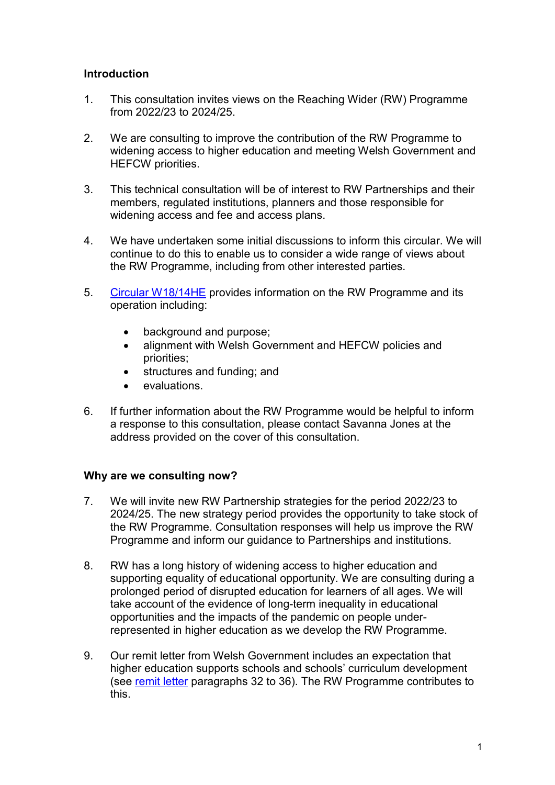#### **Introduction**

- 1. This consultation invites views on the Reaching Wider (RW) Programme from 2022/23 to 2024/25.
- 2. We are consulting to improve the contribution of the RW Programme to widening access to higher education and meeting Welsh Government and HEFCW priorities.
- 3. This technical consultation will be of interest to RW Partnerships and their members, regulated institutions, planners and those responsible for widening access and fee and access plans.
- 4. We have undertaken some initial discussions to inform this circular. We will continue to do this to enable us to consider a wide range of views about the RW Programme, including from other interested parties.
- 5. [Circular W18/14HE](https://www.hefcw.ac.uk/en/publications/circulars/w18-14he-reaching-wider-programme-guidance/) provides information on the RW Programme and its operation including:
	- background and purpose;
	- alignment with Welsh Government and HEFCW policies and priorities;
	- structures and funding; and
	- evaluations.
- 6. If further information about the RW Programme would be helpful to inform a response to this consultation, please contact Savanna Jones at the address provided on the cover of this consultation.

#### **Why are we consulting now?**

- 7. We will invite new RW Partnership strategies for the period 2022/23 to 2024/25. The new strategy period provides the opportunity to take stock of the RW Programme. Consultation responses will help us improve the RW Programme and inform our guidance to Partnerships and institutions.
- 8. RW has a long history of widening access to higher education and supporting equality of educational opportunity. We are consulting during a prolonged period of disrupted education for learners of all ages. We will take account of the evidence of long-term inequality in educational opportunities and the impacts of the pandemic on people underrepresented in higher education as we develop the RW Programme.
- 9. Our remit letter from Welsh Government includes an expectation that higher education supports schools and schools' curriculum development (see [remit letter](https://www.hefcw.ac.uk/en/document/2021-22-remit-letter/) paragraphs 32 to 36). The RW Programme contributes to this.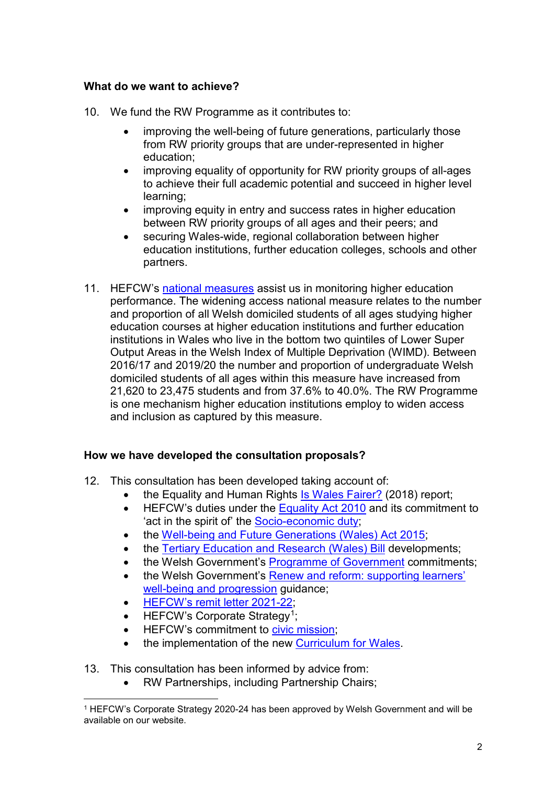#### **What do we want to achieve?**

- 10. We fund the RW Programme as it contributes to:
	- improving the well-being of future generations, particularly those from RW priority groups that are under-represented in higher education;
	- improving equality of opportunity for RW priority groups of all-ages to achieve their full academic potential and succeed in higher level learning;
	- improving equity in entry and success rates in higher education between RW priority groups of all ages and their peers; and
	- securing Wales-wide, regional collaboration between higher education institutions, further education colleges, schools and other partners.
- 11. HEFCW's [national measures](https://www.hefcw.ac.uk/en/statistics-and-data/national-measures/) assist us in monitoring higher education performance. The widening access national measure relates to the number and proportion of all Welsh domiciled students of all ages studying higher education courses at higher education institutions and further education institutions in Wales who live in the bottom two quintiles of Lower Super Output Areas in the Welsh Index of Multiple Deprivation (WIMD). Between 2016/17 and 2019/20 the number and proportion of undergraduate Welsh domiciled students of all ages within this measure have increased from 21,620 to 23,475 students and from 37.6% to 40.0%. The RW Programme is one mechanism higher education institutions employ to widen access and inclusion as captured by this measure.

# **How we have developed the consultation proposals?**

- 12. This consultation has been developed taking account of:
	- the Equality and Human Rights [Is Wales Fairer?](https://www.equalityhumanrights.com/en/publication-download/wales-fairer-2018) (2018) report;
	- HEFCW's duties under the [Equality Act 2010](https://www.legislation.gov.uk/ukpga/2010/15/contents) and its commitment to 'act in the spirit of' the [Socio-economic duty;](https://gov.wales/socio-economic-duty-overview#:%7E:text=The%20Socio-economic%20Duty%20will%20support%20this%20through%20ensuring,made%20and%20the%20way%20that%20decision%20makers%20operate)
	- the [Well-being and Future Generations \(Wales\)](https://www.futuregenerations.wales/about-us/future-generations-act/) Act 2015;
	- the [Tertiary Education and Research \(Wales\) Bill](https://gov.wales/tertiary-education-and-research-commission) developments;
	- the Welsh Government's [Programme of Government](https://gov.wales/sites/default/files/publications/2021-06/programme-for-government-2021-to-2026.pdf) commitments:
	- the Welsh Government's Renew and reform: supporting learners' [well-being and progression](https://gov.wales/renew-and-reform-supporting-learners-wellbeing-and-progression-html) guidance;
	- [HEFCW's remit letter 2021-22;](https://www.hefcw.ac.uk/en/document/2021-22-remit-letter/)
	- HEFCW's Corporate Strategy<sup>[1](#page-2-0)</sup>;
	- HEFCW's commitment to [civic mission;](https://www.hefcw.ac.uk/en/our-responsibilities/research-innovation-and-engagement/civic-mission/)
	- the implementation of the new [Curriculum for Wales.](https://hwb.gov.wales/curriculum-for-wales/)
- 13. This consultation has been informed by advice from:
	- RW Partnerships, including Partnership Chairs;

<span id="page-2-0"></span> <sup>1</sup> HEFCW's Corporate Strategy 2020-24 has been approved by Welsh Government and will be available on our website.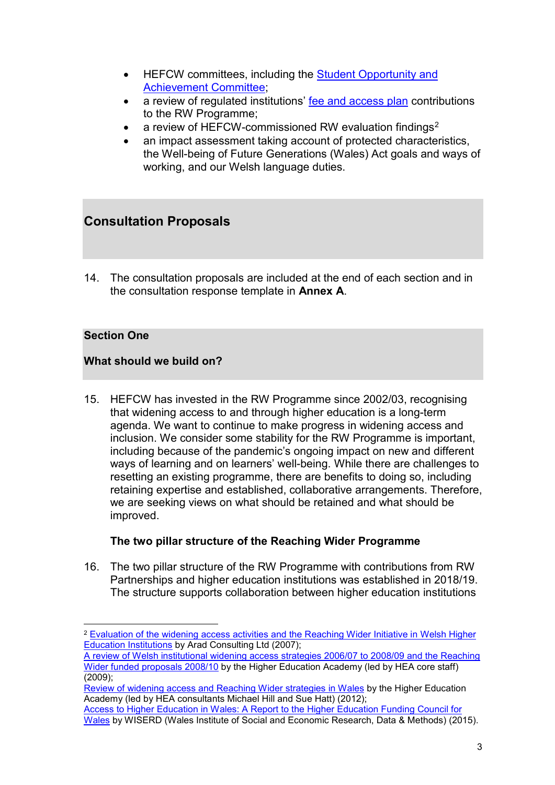- HEFCW committees, including the [Student Opportunity and](https://www.hefcw.ac.uk/en/about-us/governance/committees/)  [Achievement Committee;](https://www.hefcw.ac.uk/en/about-us/governance/committees/)
- a review of regulated institutions' [fee and access plan](https://www.hefcw.ac.uk/en/regulation/fee-and-access-plan/) contributions to the RW Programme;
- a review of HEFCW-commissioned RW evaluation findings<sup>[2](#page-3-0)</sup>
- an impact assessment taking account of protected characteristics, the Well-being of Future Generations (Wales) Act goals and ways of working, and our Welsh language duties.

# **Consultation Proposals**

14. The consultation proposals are included at the end of each section and in the consultation response template in **Annex A**.

# **Section One**

# **What should we build on?**

15. HEFCW has invested in the RW Programme since 2002/03, recognising that widening access to and through higher education is a long-term agenda. We want to continue to make progress in widening access and inclusion. We consider some stability for the RW Programme is important, including because of the pandemic's ongoing impact on new and different ways of learning and on learners' well-being. While there are challenges to resetting an existing programme, there are benefits to doing so, including retaining expertise and established, collaborative arrangements. Therefore, we are seeking views on what should be retained and what should be improved.

# **The two pillar structure of the Reaching Wider Programme**

16. The two pillar structure of the RW Programme with contributions from RW Partnerships and higher education institutions was established in 2018/19. The structure supports collaboration between higher education institutions

<span id="page-3-0"></span> <sup>2</sup> [Evaluation of the widening access activities and the Reaching Wider Initiative in Welsh Higher](https://www.hefcw.ac.uk/wp-content/uploads/2020/08/Evaluation-of-the-Widening-Access-activites-and-the-Reaching-Wider-Initiative-in-HE-Wales.pdf)  [Education Institutions](https://www.hefcw.ac.uk/wp-content/uploads/2020/08/Evaluation-of-the-Widening-Access-activites-and-the-Reaching-Wider-Initiative-in-HE-Wales.pdf) by Arad Consulting Ltd (2007);

[A review of Welsh institutional widening access strategies 2006/07 to 2008/09 and the Reaching](https://www.heacademy.ac.uk/knowledge-hub/welsh-institutional-widening-access-strategies-and-reaching-wider-review)  [Wider funded proposals 2008/10](https://www.heacademy.ac.uk/knowledge-hub/welsh-institutional-widening-access-strategies-and-reaching-wider-review) by the Higher Education Academy (led by HEA core staff) (2009);

[Review of widening access and Reaching Wider strategies in Wales](https://www.heacademy.ac.uk/knowledge-hub/review-widening-access-and-reaching-wider-strategies-wales) by the Higher Education Academy (led by HEA consultants Michael Hill and Sue Hatt) (2012);

[Access to Higher Education in Wales: A Report to](https://wiserd.ac.uk/publications/access-higher-education-wales-report-higher-education-funding-council-wales) the Higher Education Funding Council for [Wales](https://wiserd.ac.uk/publications/access-higher-education-wales-report-higher-education-funding-council-wales) by WISERD (Wales Institute of Social and Economic Research, Data & Methods) (2015).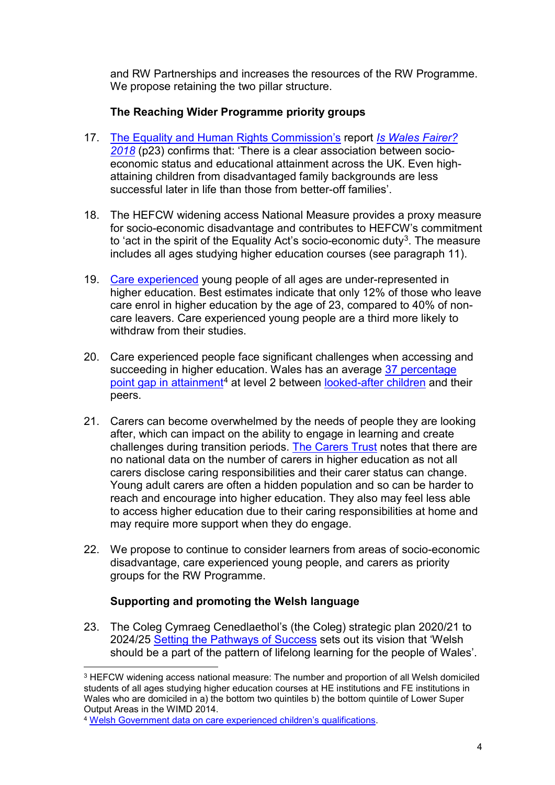and RW Partnerships and increases the resources of the RW Programme. We propose retaining the two pillar structure.

# **The Reaching Wider Programme priority groups**

- 17. [The Equality and Human Rights Commission's](https://www.equalityhumanrights.com/en/commission-wales) report *[Is Wales Fairer?](https://www.equalityhumanrights.com/en/publication-download/wales-fairer-2018)  [2018](https://www.equalityhumanrights.com/en/publication-download/wales-fairer-2018)* (p23) confirms that: 'There is a clear association between socioeconomic status and educational attainment across the UK. Even highattaining children from disadvantaged family backgrounds are less successful later in life than those from better-off families'.
- 18. The HEFCW widening access National Measure provides a proxy measure for socio-economic disadvantage and contributes to HEFCW's commitment to 'act in the spirit of the Equality Act's socio-economic duty<sup>[3](#page-4-0)</sup>. The measure includes all ages studying higher education courses (see paragraph 11).
- 19. [Care experienced](https://www.universitiesuk.ac.uk/blog/Pages/supporting-care-experienced-students-through-university.aspx) young people of all ages are under-represented in higher education. Best estimates indicate that only 12% of those who leave care enrol in higher education by the age of 23, compared to 40% of noncare leavers. Care experienced young people are a third more likely to withdraw from their studies.
- 20. Care experienced people face significant challenges when accessing and succeeding in higher education. Wales has an average [37 percentage](https://www.ucas.com/providers/good-practice/emerging-cohorts/care-experienced-students)  [point gap in attainment](https://www.ucas.com/providers/good-practice/emerging-cohorts/care-experienced-students)<sup>[4](#page-4-1)</sup> at level 2 between [looked-after children](https://www.ucas.com/providers/good-practice/emerging-cohorts/care-experienced-students) and their peers.
- 21. Carers can become overwhelmed by the needs of people they are looking after, which can impact on the ability to engage in learning and create challenges during transition periods. [The Carers Trust](https://carers.org/resources/all-resources/13-supporting-higher-education-students-with-caring-responsibilities) notes that there are no national data on the number of carers in higher education as not all carers disclose caring responsibilities and their carer status can change. Young adult carers are often a hidden population and so can be harder to reach and encourage into higher education. They also may feel less able to access higher education due to their caring responsibilities at home and may require more support when they do engage.
- 22. We propose to continue to consider learners from areas of socio-economic disadvantage, care experienced young people, and carers as priority groups for the RW Programme.

# **Supporting and promoting the Welsh language**

23. The Coleg Cymraeg Cenedlaethol's (the Coleg) strategic plan 2020/21 to 2024/25 [Setting the Pathways of Success](https://www.colegcymraeg.ac.uk/en/media/main/dogfennau-ccc/dogfennaucorfforaethol/Strategic-Plan.pdf) sets out its vision that 'Welsh should be a part of the pattern of lifelong learning for the people of Wales'.

<span id="page-4-0"></span> <sup>3</sup> HEFCW widening access national measure: The number and proportion of all Welsh domiciled students of all ages studying higher education courses at HE institutions and FE institutions in Wales who are domiciled in a) the bottom two quintiles b) the bottom quintile of Lower Super Output Areas in the WIMD 2014.

<span id="page-4-1"></span><sup>4</sup> [Welsh Government data on care experienced children's qualifications.](https://statswales.gov.wales/Catalogue/Health-and-Social-Care/Social-Services/Childrens-Services/Children-Looked-After/Educational-Qualifications-of-Care-Leavers/childrenaged16andoverceasingtobelookedafterduringyearending31march-by-localauthority-qualifications-measure)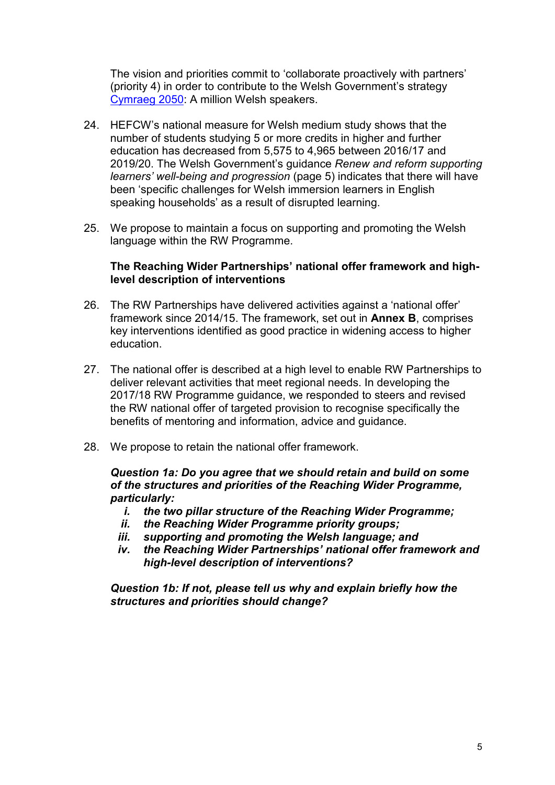The vision and priorities commit to 'collaborate proactively with partners' (priority 4) in order to contribute to the Welsh Government's strategy [Cymraeg 2050:](https://gov.wales/sites/default/files/publications/2018-12/cymraeg-2050-welsh-language-strategy.pdf) A million Welsh speakers.

- 24. HEFCW's national measure for Welsh medium study shows that the number of students studying 5 or more credits in higher and further education has decreased from 5,575 to 4,965 between 2016/17 and 2019/20. The Welsh Government's guidance *Renew and reform supporting learners' well-being and progression* (page 5) indicates that there will have been 'specific challenges for Welsh immersion learners in English speaking households' as a result of disrupted learning.
- 25. We propose to maintain a focus on supporting and promoting the Welsh language within the RW Programme.

#### **The Reaching Wider Partnerships' national offer framework and highlevel description of interventions**

- 26. The RW Partnerships have delivered activities against a 'national offer' framework since 2014/15. The framework, set out in **Annex B**, comprises key interventions identified as good practice in widening access to higher education.
- 27. The national offer is described at a high level to enable RW Partnerships to deliver relevant activities that meet regional needs. In developing the 2017/18 RW Programme guidance, we responded to steers and revised the RW national offer of targeted provision to recognise specifically the benefits of mentoring and information, advice and guidance.
- 28. We propose to retain the national offer framework.

#### *Question 1a: Do you agree that we should retain and build on some of the structures and priorities of the Reaching Wider Programme, particularly:*

- *i. the two pillar structure of the Reaching Wider Programme;*
- *ii. the Reaching Wider Programme priority groups;*
- *iii. supporting and promoting the Welsh language; and*
- *iv. the Reaching Wider Partnerships' national offer framework and high-level description of interventions?*

*Question 1b: If not, please tell us why and explain briefly how the structures and priorities should change?*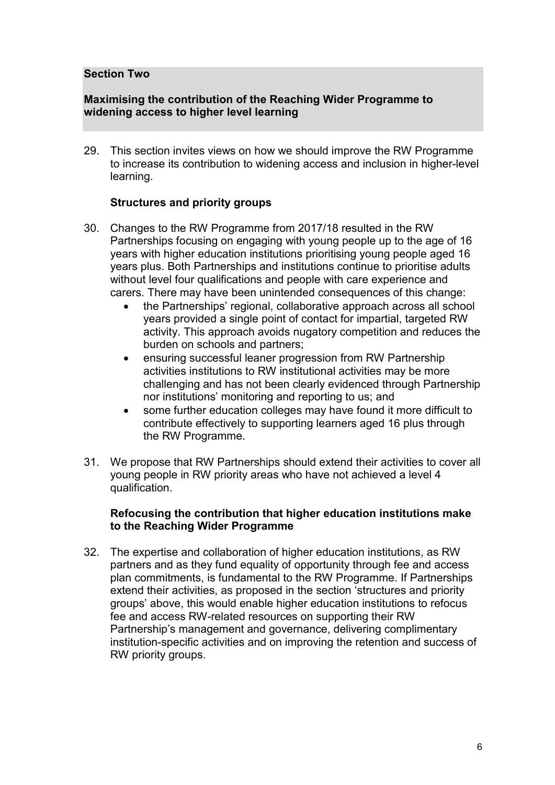#### **Section Two**

#### **Maximising the contribution of the Reaching Wider Programme to widening access to higher level learning**

29. This section invites views on how we should improve the RW Programme to increase its contribution to widening access and inclusion in higher-level learning.

#### **Structures and priority groups**

- 30. Changes to the RW Programme from 2017/18 resulted in the RW Partnerships focusing on engaging with young people up to the age of 16 years with higher education institutions prioritising young people aged 16 years plus. Both Partnerships and institutions continue to prioritise adults without level four qualifications and people with care experience and carers. There may have been unintended consequences of this change:
	- the Partnerships' regional, collaborative approach across all school years provided a single point of contact for impartial, targeted RW activity. This approach avoids nugatory competition and reduces the burden on schools and partners;
	- ensuring successful leaner progression from RW Partnership activities institutions to RW institutional activities may be more challenging and has not been clearly evidenced through Partnership nor institutions' monitoring and reporting to us; and
	- some further education colleges may have found it more difficult to contribute effectively to supporting learners aged 16 plus through the RW Programme.
- 31. We propose that RW Partnerships should extend their activities to cover all young people in RW priority areas who have not achieved a level 4 qualification.

#### **Refocusing the contribution that higher education institutions make to the Reaching Wider Programme**

32. The expertise and collaboration of higher education institutions, as RW partners and as they fund equality of opportunity through fee and access plan commitments, is fundamental to the RW Programme. If Partnerships extend their activities, as proposed in the section 'structures and priority groups' above, this would enable higher education institutions to refocus fee and access RW-related resources on supporting their RW Partnership's management and governance, delivering complimentary institution-specific activities and on improving the retention and success of RW priority groups.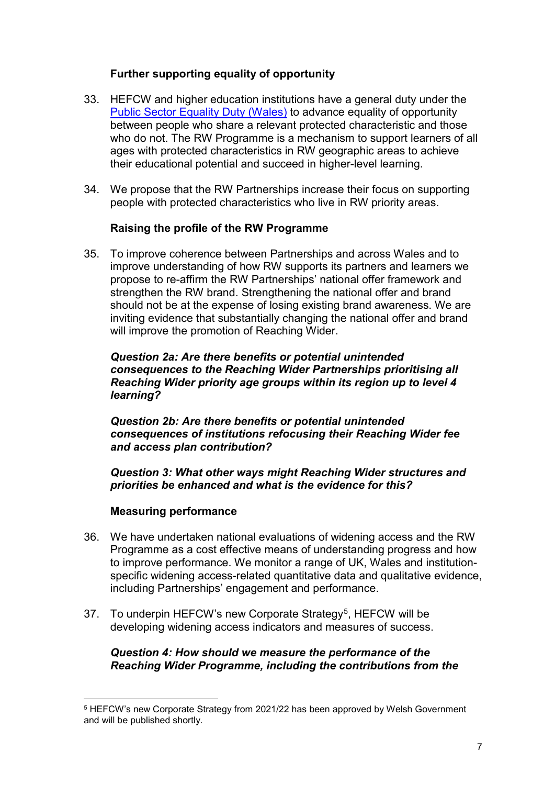#### **Further supporting equality of opportunity**

- 33. HEFCW and higher education institutions have a general duty under the [Public Sector Equality Duty \(Wales\)](https://www.equalityhumanrights.com/en/advice-and-guidance/public-sector-equality-duty#:%7E:text=Public%20Sector%20Equality%20Duty%201%20Background.%20On%205,protected%20characteristics.%203%20Purpose%20of%20the%20duty.%20) to advance equality of opportunity between people who share a relevant protected characteristic and those who do not. The RW Programme is a mechanism to support learners of all ages with protected characteristics in RW geographic areas to achieve their educational potential and succeed in higher-level learning.
- 34. We propose that the RW Partnerships increase their focus on supporting people with protected characteristics who live in RW priority areas.

#### **Raising the profile of the RW Programme**

35. To improve coherence between Partnerships and across Wales and to improve understanding of how RW supports its partners and learners we propose to re-affirm the RW Partnerships' national offer framework and strengthen the RW brand. Strengthening the national offer and brand should not be at the expense of losing existing brand awareness. We are inviting evidence that substantially changing the national offer and brand will improve the promotion of Reaching Wider.

*Question 2a: Are there benefits or potential unintended consequences to the Reaching Wider Partnerships prioritising all Reaching Wider priority age groups within its region up to level 4 learning?* 

*Question 2b: Are there benefits or potential unintended consequences of institutions refocusing their Reaching Wider fee and access plan contribution?*

*Question 3: What other ways might Reaching Wider structures and priorities be enhanced and what is the evidence for this?* 

# **Measuring performance**

- 36. We have undertaken national evaluations of widening access and the RW Programme as a cost effective means of understanding progress and how to improve performance. We monitor a range of UK, Wales and institutionspecific widening access-related quantitative data and qualitative evidence, including Partnerships' engagement and performance.
- 37. To underpin HEFCW's new Corporate Strategy<sup>[5](#page-7-0)</sup>, HEFCW will be developing widening access indicators and measures of success.

#### *Question 4: How should we measure the performance of the Reaching Wider Programme, including the contributions from the*

<span id="page-7-0"></span> <sup>5</sup> HEFCW's new Corporate Strategy from 2021/22 has been approved by Welsh Government and will be published shortly.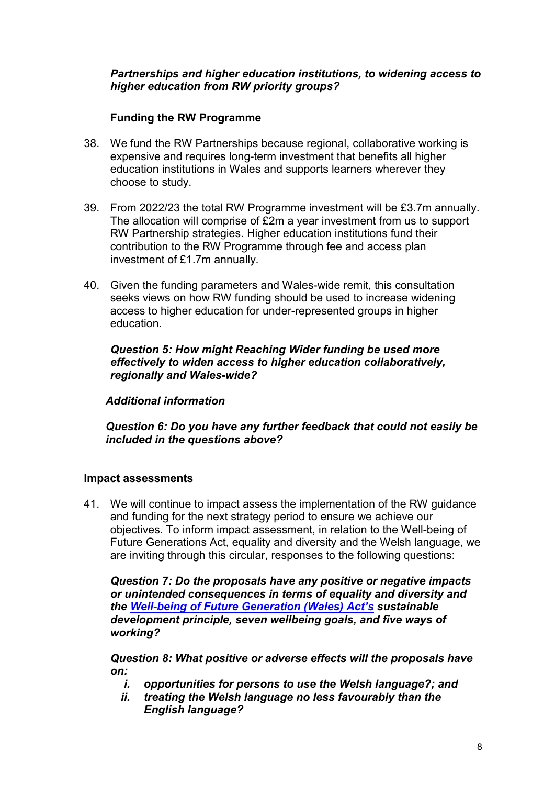#### *Partnerships and higher education institutions, to widening access to higher education from RW priority groups?*

# **Funding the RW Programme**

- 38. We fund the RW Partnerships because regional, collaborative working is expensive and requires long-term investment that benefits all higher education institutions in Wales and supports learners wherever they choose to study.
- 39. From 2022/23 the total RW Programme investment will be £3.7m annually. The allocation will comprise of £2m a year investment from us to support RW Partnership strategies. Higher education institutions fund their contribution to the RW Programme through fee and access plan investment of £1.7m annually.
- 40. Given the funding parameters and Wales-wide remit, this consultation seeks views on how RW funding should be used to increase widening access to higher education for under-represented groups in higher education.

*Question 5: How might Reaching Wider funding be used more effectively to widen access to higher education collaboratively, regionally and Wales-wide?*

# *Additional information*

*Question 6: Do you have any further feedback that could not easily be included in the questions above?*

# **Impact assessments**

41. We will continue to impact assess the implementation of the RW guidance and funding for the next strategy period to ensure we achieve our objectives. To inform impact assessment, in relation to the Well-being of Future Generations Act, equality and diversity and the Welsh language, we are inviting through this circular, responses to the following questions:

*Question 7: Do the proposals have any positive or negative impacts or unintended consequences in terms of equality and diversity and the [Well-being of Future Generation \(Wales\) Act's](https://www.futuregenerations.wales/about-us/future-generations-act/) sustainable development principle, seven wellbeing goals, and five ways of working?*

*Question 8: What positive or adverse effects will the proposals have on:*

- *i. opportunities for persons to use the Welsh language?; and*
- *ii. treating the Welsh language no less favourably than the English language?*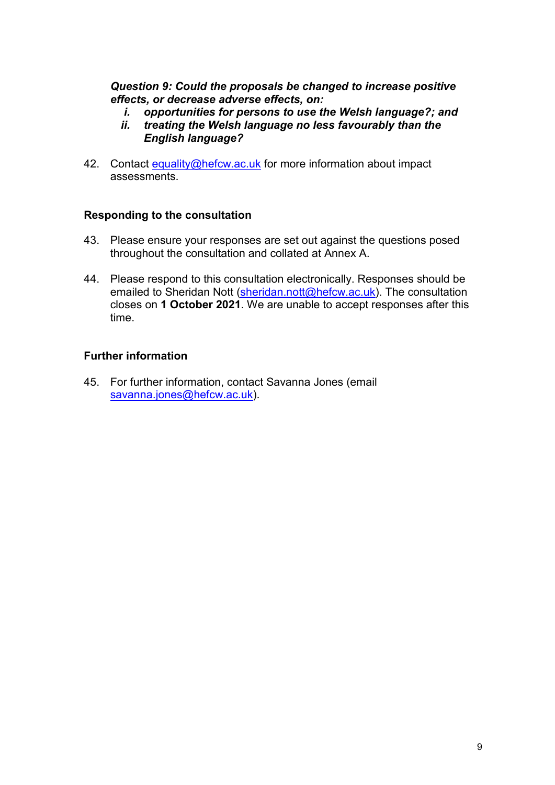*Question 9: Could the proposals be changed to increase positive effects, or decrease adverse effects, on:*

- *i. opportunities for persons to use the Welsh language?; and*
- *ii. treating the Welsh language no less favourably than the English language?*
- 42. Contact [equality@hefcw.ac.uk](mailto:equality@hefcw.ac.uk) for more information about impact assessments.

#### **Responding to the consultation**

- 43. Please ensure your responses are set out against the questions posed throughout the consultation and collated at Annex A.
- 44. Please respond to this consultation electronically. Responses should be emailed to Sheridan Nott [\(sheridan.nott@hefcw.ac.uk\)](mailto:sheridan.nott@hefcw.ac.uk). The consultation closes on **1 October 2021**. We are unable to accept responses after this time.

#### **Further information**

45. For further information, contact Savanna Jones (email [savanna.jones@hefcw.ac.uk\)](mailto:savanna.jones@hefcw.ac.uk).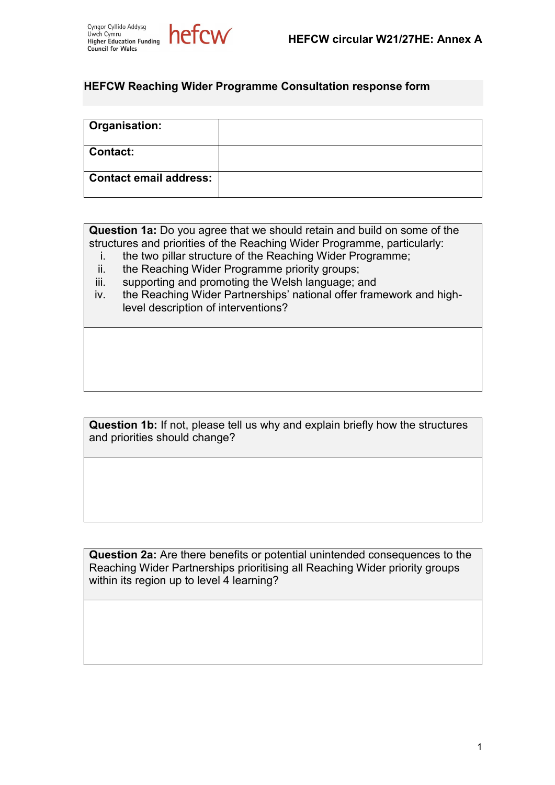



#### **HEFCW Reaching Wider Programme Consultation response form**

| Organisation:          |  |
|------------------------|--|
| Contact:               |  |
| Contact email address: |  |

**Question 1a:** Do you agree that we should retain and build on some of the structures and priorities of the Reaching Wider Programme, particularly:

- i. the two pillar structure of the Reaching Wider Programme;
- ii. the Reaching Wider Programme priority groups;
- iii. supporting and promoting the Welsh language; and
- iv. the Reaching Wider Partnerships' national offer framework and highlevel description of interventions?

**Question 1b:** If not, please tell us why and explain briefly how the structures and priorities should change?

**Question 2a:** Are there benefits or potential unintended consequences to the Reaching Wider Partnerships prioritising all Reaching Wider priority groups within its region up to level 4 learning?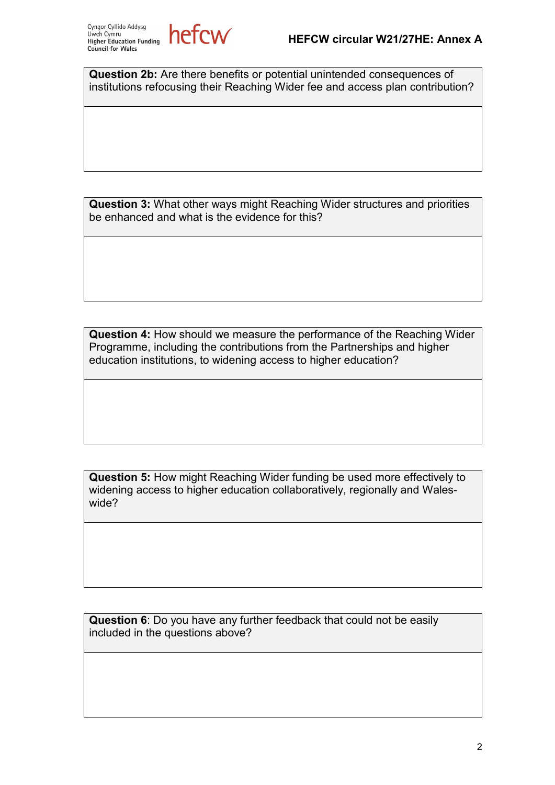

**Question 2b:** Are there benefits or potential unintended consequences of institutions refocusing their Reaching Wider fee and access plan contribution?

**Question 3:** What other ways might Reaching Wider structures and priorities be enhanced and what is the evidence for this?

**Question 4:** How should we measure the performance of the Reaching Wider Programme, including the contributions from the Partnerships and higher education institutions, to widening access to higher education?

**Question 5:** How might Reaching Wider funding be used more effectively to widening access to higher education collaboratively, regionally and Waleswide?

**Question 6**: Do you have any further feedback that could not be easily included in the questions above?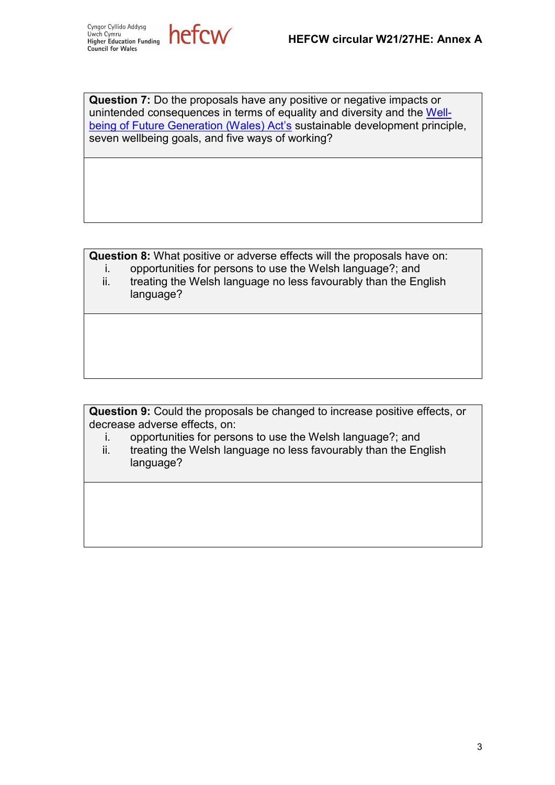Cyngor Cyllido Addysg Uwch Cymru Higher Education Funding **Council for Wales** 



**Question 7:** Do the proposals have any positive or negative impacts or unintended consequences in terms of equality and diversity and the [Well](https://www.futuregenerations.wales/about-us/future-generations-act/)[being of Future Generation \(Wales\) Act's](https://www.futuregenerations.wales/about-us/future-generations-act/) sustainable development principle, seven wellbeing goals, and five ways of working?

**Question 8:** What positive or adverse effects will the proposals have on:

- i. opportunities for persons to use the Welsh language?; and
	- ii. treating the Welsh language no less favourably than the English language?

**Question 9:** Could the proposals be changed to increase positive effects, or decrease adverse effects, on:

- i. opportunities for persons to use the Welsh language?; and
- ii. treating the Welsh language no less favourably than the English language?